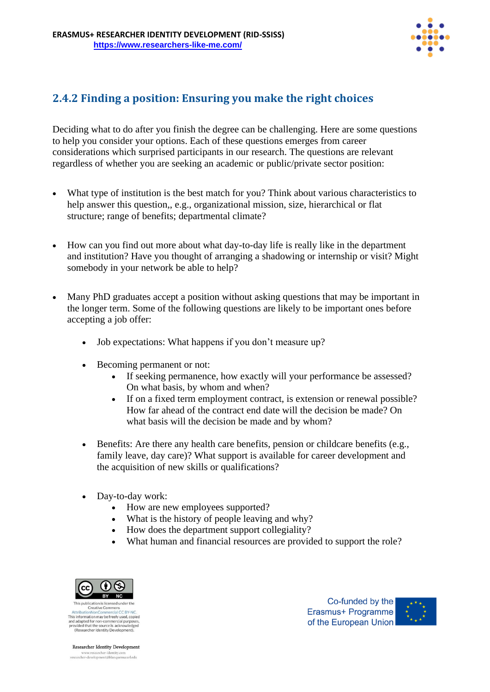

## **2.4.2 Finding a position: Ensuring you make the right choices**

Deciding what to do after you finish the degree can be challenging. Here are some questions to help you consider your options. Each of these questions emerges from career considerations which surprised participants in our research. The questions are relevant regardless of whether you are seeking an academic or public/private sector position:

- What type of institution is the best match for you? Think about various characteristics to help answer this question,, e.g., organizational mission, size, hierarchical or flat structure; range of benefits; departmental climate?
- How can you find out more about what day-to-day life is really like in the department and institution? Have you thought of arranging a shadowing or internship or visit? Might somebody in your network be able to help?
- Many PhD graduates accept a position without asking questions that may be important in the longer term. Some of the following questions are likely to be important ones before accepting a job offer:
	- Job expectations: What happens if you don't measure up?
	- Becoming permanent or not:
		- If seeking permanence, how exactly will your performance be assessed? On what basis, by whom and when?
		- If on a fixed term employment contract, is extension or renewal possible? How far ahead of the contract end date will the decision be made? On what basis will the decision be made and by whom?
	- Benefits: Are there any health care benefits, pension or childcare benefits (e.g., family leave, day care)? What support is available for career development and the acquisition of new skills or qualifications?
	- Day-to-day work:
		- How are new employees supported?
		- What is the history of people leaving and why?
		- How does the department support collegiality?
		- What human and financial resources are provided to support the role?



Creative Commo This information may be freely used, copied and adapted for non-commercial purposes,<br>and adapted for non-commercial purposes,<br>provided that the source is acknowledged<br>(Researcher Identity Development).

Co-funded by the Erasmus+ Programme of the European Union



Researcher Identity Development www.researcher-identity.com<br>researcher-development@blanquerna.url.edu